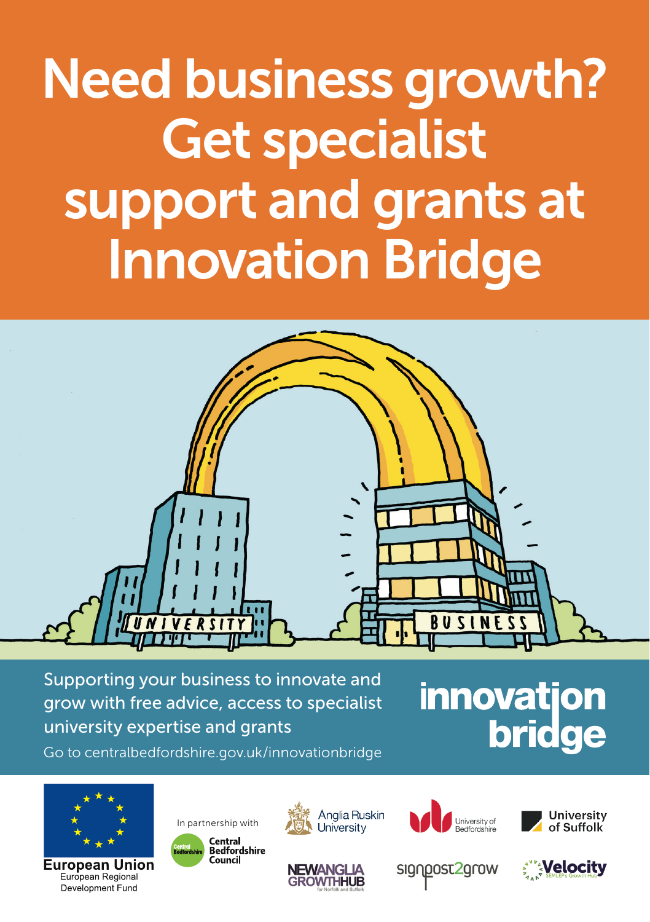# Need business growth? Get specialist support and grants at Innovation Bridge



Supporting your business to innovate and grow with free advice, access to specialist university expertise and grants

# **innovatjon bridge**

Go to centralbedfordshire.gov.uk/innovationbridge



**European Union** European Regional Development Fund









signpost2grow